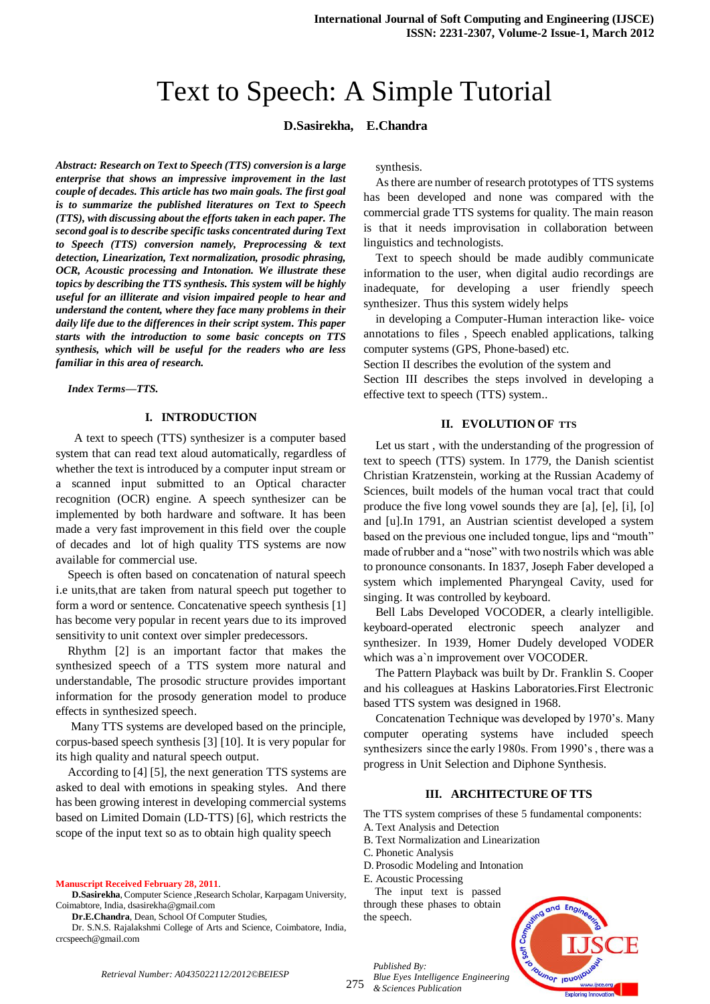# Text to Speech: A Simple Tutorial

## **D.Sasirekha, E.Chandra**

*Abstract: Research on Text to Speech (TTS) conversion is a large enterprise that shows an impressive improvement in the last couple of decades. This article has two main goals. The first goal is to summarize the published literatures on Text to Speech (TTS), with discussing about the efforts taken in each paper. The second goal is to describe specific tasks concentrated during Text to Speech (TTS) conversion namely, Preprocessing & text detection, Linearization, Text normalization, prosodic phrasing, OCR, Acoustic processing and Intonation. We illustrate these topics by describing the TTS synthesis. This system will be highly useful for an illiterate and vision impaired people to hear and understand the content, where they face many problems in their daily life due to the differences in their script system. This paper starts with the introduction to some basic concepts on TTS synthesis, which will be useful for the readers who are less familiar in this area of research.*

*Index Terms—TTS.* 

#### **I. INTRODUCTION**

 A text to speech (TTS) synthesizer is a computer based system that can read text aloud automatically, regardless of whether the text is introduced by a computer input stream or a scanned input submitted to an Optical character recognition (OCR) engine. A speech synthesizer can be implemented by both hardware and software. It has been made a very fast improvement in this field over the couple of decades and lot of high quality TTS systems are now available for commercial use.

Speech is often based on concatenation of natural speech i.e units,that are taken from natural speech put together to form a word or sentence. Concatenative speech synthesis [1] has become very popular in recent years due to its improved sensitivity to unit context over simpler predecessors.

Rhythm [2] is an important factor that makes the synthesized speech of a TTS system more natural and understandable, The prosodic structure provides important information for the prosody generation model to produce effects in synthesized speech.

Many TTS systems are developed based on the principle, corpus-based speech synthesis [3] [10]. It is very popular for its high quality and natural speech output.

According to [4] [5], the next generation TTS systems are asked to deal with emotions in speaking styles. And there has been growing interest in developing commercial systems based on Limited Domain (LD-TTS) [6], which restricts the scope of the input text so as to obtain high quality speech

**Manuscript Received February 28, 2011**.

**D.Sasirekha**, Computer Science ,Research Scholar, Karpagam University, Coimabtore, India, dsasirekha@gmail.com

**Dr.E.Chandra**, Dean, School Of Computer Studies,

Dr. S.N.S. Rajalakshmi College of Arts and Science, Coimbatore, India, crcspeech@gmail.com

synthesis.

As there are number of research prototypes of TTS systems has been developed and none was compared with the commercial grade TTS systems for quality. The main reason is that it needs improvisation in collaboration between linguistics and technologists.

Text to speech should be made audibly communicate information to the user, when digital audio recordings are inadequate, for developing a user friendly speech synthesizer. Thus this system widely helps

in developing a Computer-Human interaction like- voice annotations to files , Speech enabled applications, talking computer systems (GPS, Phone-based) etc.

Section II describes the evolution of the system and

Section III describes the steps involved in developing a effective text to speech (TTS) system..

#### **II. EVOLUTION OF TTS**

Let us start , with the understanding of the progression of text to speech (TTS) system. In 1779, the Danish scientist Christian Kratzenstein, working at the Russian Academy of Sciences, built models of the human vocal tract that could produce the five long vowel sounds they are [a], [e], [i], [o] and [u].In 1791, an Austrian scientist developed a system based on the previous one included tongue, lips and "mouth" made of rubber and a "nose" with two nostrils which was able to pronounce consonants. In 1837, Joseph Faber developed a system which implemented Pharyngeal Cavity, used for singing. It was controlled by keyboard.

Bell Labs Developed VOCODER, a clearly intelligible. keyboard-operated electronic speech analyzer and synthesizer. In 1939, Homer Dudely developed VODER which was a`n improvement over VOCODER.

The Pattern Playback was built by Dr. Franklin S. Cooper and his colleagues at Haskins Laboratories.First Electronic based TTS system was designed in 1968.

Concatenation Technique was developed by 1970"s. Many computer operating systems have included speech synthesizers since the early 1980s. From 1990's, there was a progress in Unit Selection and Diphone Synthesis.

## **III. ARCHITECTURE OF TTS**

The TTS system comprises of these 5 fundamental components: A. Text Analysis and Detection

B. Text Normalization and Linearization

C. Phonetic Analysis

D. Prosodic Modeling and Intonation

E. Acoustic Processing

*Published By:*

*& Sciences Publication* 

 The input text is passed through these phases to obtain the speech.



*Retrieval Number: A0435022112/2012©BEIESP*

275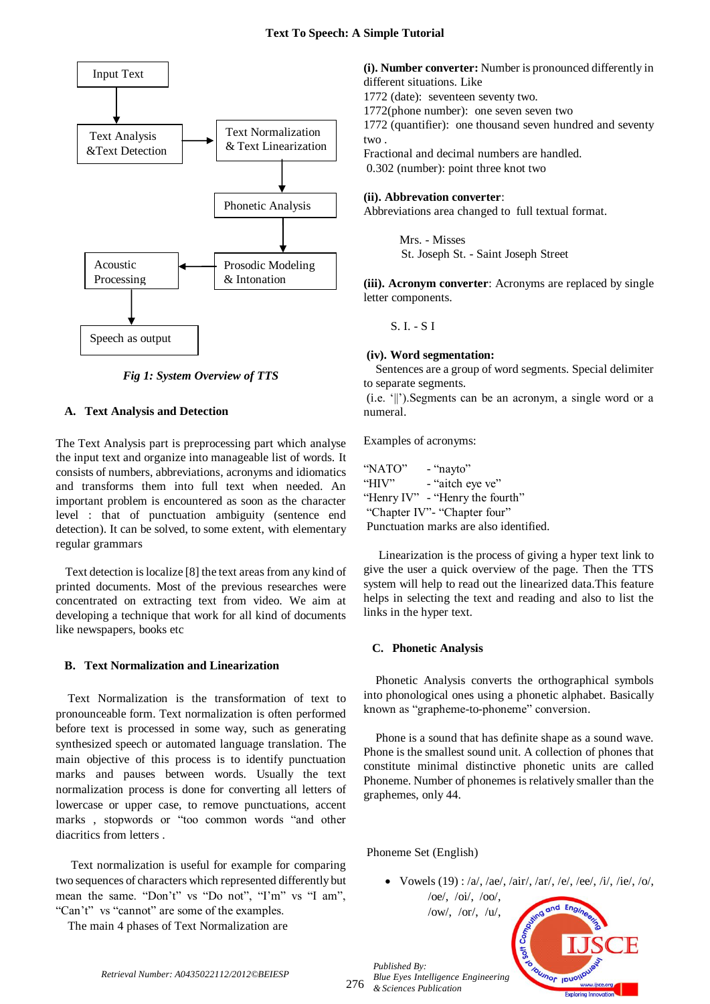

*Fig 1: System Overview of TTS*

## **A. Text Analysis and Detection**

The Text Analysis part is preprocessing part which analyse the input text and organize into manageable list of words. It consists of numbers, abbreviations, acronyms and idiomatics and transforms them into full text when needed. An important problem is encountered as soon as the character level : that of punctuation ambiguity (sentence end detection). It can be solved, to some extent, with elementary regular grammars

 Text detection is localize [8] the text areas from any kind of printed documents. Most of the previous researches were concentrated on extracting text from video. We aim at developing a technique that work for all kind of documents like newspapers, books etc

## **B. Text Normalization and Linearization**

Text Normalization is the transformation of text to pronounceable form. Text normalization is often performed before text is processed in some way, such as generating synthesized speech or automated language translation. The main objective of this process is to identify punctuation marks and pauses between words. Usually the text normalization process is done for converting all letters of lowercase or upper case, to remove punctuations, accent marks , stopwords or "too common words "and other diacritics from letters .

Text normalization is useful for example for comparing two sequences of characters which represented differently but mean the same. "Don't" vs "Do not", "I'm" vs "I am", "Can"t" vs "cannot" are some of the examples.

The main 4 phases of Text Normalization are

**(i). Number converter:** Number is pronounced differently in different situations. Like

1772 (date): seventeen seventy two.

1772(phone number): one seven seven two

1772 (quantifier): one thousand seven hundred and seventy two .

Fractional and decimal numbers are handled.

0.302 (number): point three knot two

#### **(ii). Abbrevation converter**:

Abbreviations area changed to full textual format.

Mrs. - Misses St. Joseph St. - Saint Joseph Street

**(iii). Acronym converter**: Acronyms are replaced by single letter components.

S. I. - S I

## **(iv). Word segmentation:**

 Sentences are a group of word segments. Special delimiter to separate segments.

(i.e. "||").Segments can be an acronym, a single word or a numeral.

Examples of acronyms:

"NATO" - "nayto" "HIV" - "aitch eye ve" "Henry IV" - "Henry the fourth" "Chapter IV"- "Chapter four" Punctuation marks are also identified.

Linearization is the process of giving a hyper text link to give the user a quick overview of the page. Then the TTS system will help to read out the linearized data.This feature helps in selecting the text and reading and also to list the links in the hyper text.

## **C. Phonetic Analysis**

Phonetic Analysis converts the orthographical symbols into phonological ones using a phonetic alphabet. Basically known as "grapheme-to-phoneme" conversion.

Phone is a sound that has definite shape as a sound wave. Phone is the smallest sound unit. A collection of phones that constitute minimal distinctive phonetic units are called Phoneme. Number of phonemes is relatively smaller than the graphemes, only 44.

## Phoneme Set (English)

/ow/, /or/, /u/,

*Published By:*

• Vowels (19): /a/, /ae/, /air/, /ar/, /e/, /ee/, /i/, /ie/, /o/, /oe/, /oi/, /oo/,



*Retrieval Number: A0435022112/2012©BEIESP*

276 *& Sciences Publication*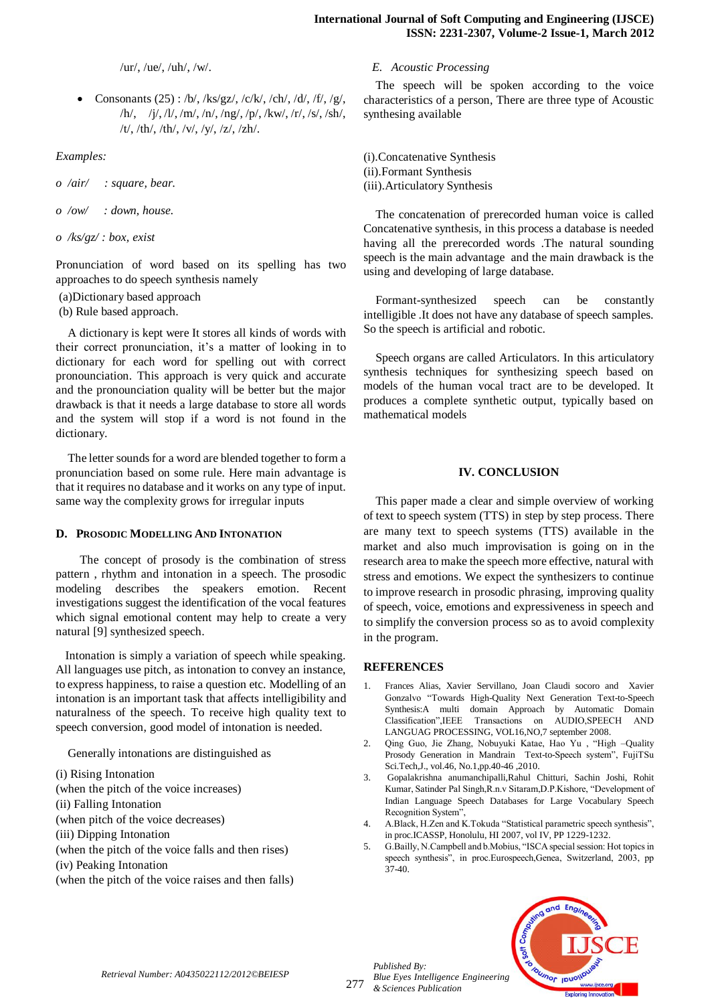/ur/, /ue/, /uh/, /w/.

• Consonants (25) : /b/, /ks/gz/, /c/k/, /ch/, /d/, /f/, /g/, /h/, /j/, /l/, /m/, /n/, /ng/, /p/, /kw/, /r/, /s/, /sh/, /t/, /th/, /th/, /v/, /y/, /z/, /zh/.

*Examples:*

*o /air/ : square, bear.* 

*o /ow/ : down, house.*

*o /ks/gz/ : box, exist*

Pronunciation of word based on its spelling has two approaches to do speech synthesis namely

(a)Dictionary based approach

(b) Rule based approach.

A dictionary is kept were It stores all kinds of words with their correct pronunciation, it"s a matter of looking in to dictionary for each word for spelling out with correct pronounciation. This approach is very quick and accurate and the pronounciation quality will be better but the major drawback is that it needs a large database to store all words and the system will stop if a word is not found in the dictionary.

The letter sounds for a word are blended together to form a pronunciation based on some rule. Here main advantage is that it requires no database and it works on any type of input. same way the complexity grows for irregular inputs

#### **D. PROSODIC MODELLING AND INTONATION**

The concept of prosody is the combination of stress pattern , rhythm and intonation in a speech. The prosodic modeling describes the speakers emotion. Recent investigations suggest the identification of the vocal features which signal emotional content may help to create a very natural [9] synthesized speech.

 Intonation is simply a variation of speech while speaking. All languages use pitch, as intonation to convey an instance, to express happiness, to raise a question etc. Modelling of an intonation is an important task that affects intelligibility and naturalness of the speech. To receive high quality text to speech conversion, good model of intonation is needed.

Generally intonations are distinguished as

(i) Rising Intonation (when the pitch of the voice increases) (ii) Falling Intonation (when pitch of the voice decreases) (iii) Dipping Intonation (when the pitch of the voice falls and then rises)

- 
- (iv) Peaking Intonation

(when the pitch of the voice raises and then falls)

#### *E. Acoustic Processing*

The speech will be spoken according to the voice characteristics of a person, There are three type of Acoustic synthesing available

(i).Concatenative Synthesis (ii).Formant Synthesis (iii).Articulatory Synthesis

The concatenation of prerecorded human voice is called Concatenative synthesis, in this process a database is needed having all the prerecorded words .The natural sounding speech is the main advantage and the main drawback is the using and developing of large database.

Formant-synthesized speech can be constantly intelligible .It does not have any database of speech samples. So the speech is artificial and robotic.

Speech organs are called Articulators. In this articulatory synthesis techniques for synthesizing speech based on models of the human vocal tract are to be developed. It produces a complete synthetic output, typically based on mathematical models

#### **IV. CONCLUSION**

This paper made a clear and simple overview of working of text to speech system (TTS) in step by step process. There are many text to speech systems (TTS) available in the market and also much improvisation is going on in the research area to make the speech more effective, natural with stress and emotions. We expect the synthesizers to continue to improve research in prosodic phrasing, improving quality of speech, voice, emotions and expressiveness in speech and to simplify the conversion process so as to avoid complexity in the program.

#### **REFERENCES**

- 1. Frances Alias, Xavier Servillano, Joan Claudi socoro and Xavier Gonzalvo "Towards High-Quality Next Generation Text-to-Speech Synthesis:A multi domain Approach by Automatic Domain Classification",IEEE Transactions on AUDIO,SPEECH AND LANGUAG PROCESSING, VOL16,NO,7 september 2008.
- 2. Qing Guo, Jie Zhang, Nobuyuki Katae, Hao Yu , "High –Quality Prosody Generation in Mandrain Text-to-Speech system", FujiTSu Sci.Tech,J., vol.46, No.1,pp.40-46 ,2010.
- 3. Gopalakrishna anumanchipalli,Rahul Chitturi, Sachin Joshi, Rohit Kumar, Satinder Pal Singh,R.n.v Sitaram,D.P.Kishore, "Development of Indian Language Speech Databases for Large Vocabulary Speech Recognition System",
- 4. A.Black, H.Zen and K.Tokuda "Statistical parametric speech synthesis", in proc.ICASSP, Honolulu, HI 2007, vol IV, PP 1229-1232.
- 5. G.Bailly, N.Campbell and b.Mobius, "ISCA special session: Hot topics in speech synthesis", in proc.Eurospeech,Genea, Switzerland, 2003, pp 37-40.



*Retrieval Number: A0435022112/2012©BEIESP*

277

*Blue Eyes Intelligence Engineering & Sciences Publication* 

*Published By:*